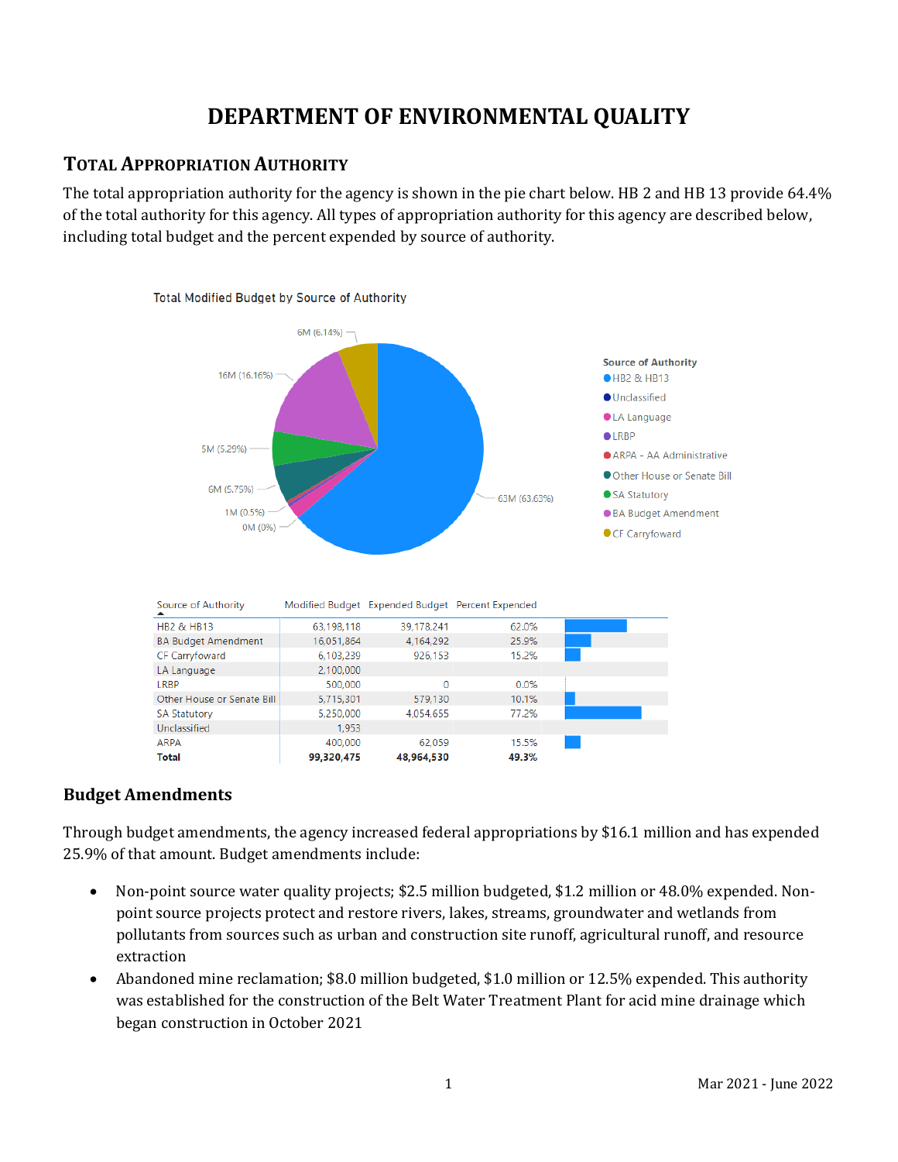# **DEPARTMENT OF ENVIRONMENTAL QUALITY**

### **TOTAL APPROPRIATION AUTHORITY**

The total appropriation authority for the agency is shown in the pie chart below. HB 2 and HB 13 provide 64.4% of the total authority for this agency. All types of appropriation authority for this agency are described below, including total budget and the percent expended by source of authority.



### **Budget Amendments**

Through budget amendments, the agency increased federal appropriations by \$16.1 million and has expended 25.9% of that amount. Budget amendments include:

- Non-point source water quality projects; \$2.5 million budgeted, \$1.2 million or 48.0% expended. Nonpoint source projects protect and restore rivers, lakes, streams, groundwater and wetlands from pollutants from sources such as urban and construction site runoff, agricultural runoff, and resource extraction
- Abandoned mine reclamation; \$8.0 million budgeted, \$1.0 million or 12.5% expended. This authority was established for the construction of the Belt Water Treatment Plant for acid mine drainage which began construction in October 2021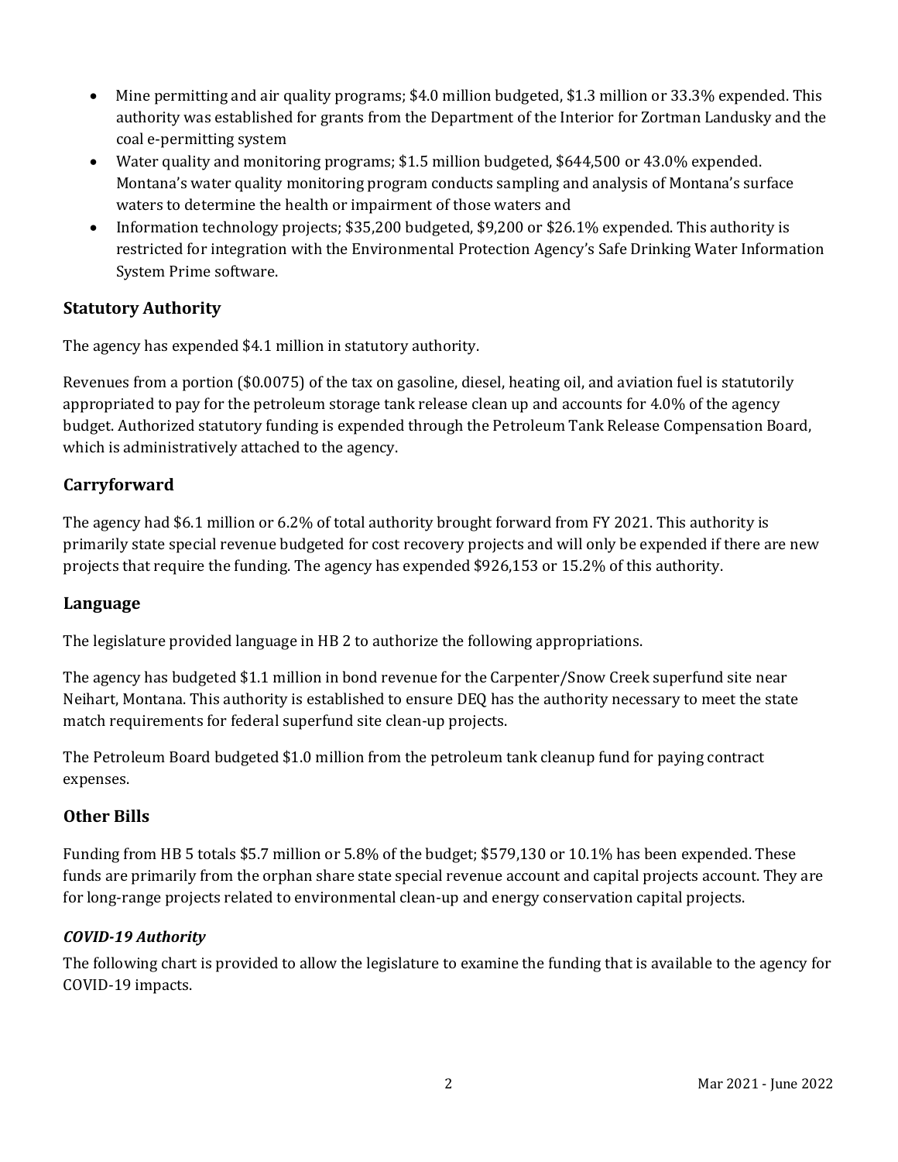- Mine permitting and air quality programs; \$4.0 million budgeted, \$1.3 million or 33.3% expended. This authority was established for grants from the Department of the Interior for Zortman Landusky and the coal e-permitting system
- Water quality and monitoring programs; \$1.5 million budgeted, \$644,500 or 43.0% expended. Montana's water quality monitoring program conducts sampling and analysis of Montana's surface waters to determine the health or impairment of those waters and
- Information technology projects; \$35,200 budgeted, \$9,200 or \$26.1% expended. This authority is restricted for integration with the Environmental Protection Agency's Safe Drinking Water Information System Prime software.

### **Statutory Authority**

The agency has expended \$4.1 million in statutory authority.

Revenues from a portion (\$0.0075) of the tax on gasoline, diesel, heating oil, and aviation fuel is statutorily appropriated to pay for the petroleum storage tank release clean up and accounts for 4.0% of the agency budget. Authorized statutory funding is expended through the Petroleum Tank Release Compensation Board, which is administratively attached to the agency.

### **Carryforward**

The agency had \$6.1 million or 6.2% of total authority brought forward from FY 2021. This authority is primarily state special revenue budgeted for cost recovery projects and will only be expended if there are new projects that require the funding. The agency has expended \$926,153 or 15.2% of this authority.

### **Language**

The legislature provided language in HB 2 to authorize the following appropriations.

The agency has budgeted \$1.1 million in bond revenue for the Carpenter/Snow Creek superfund site near Neihart, Montana. This authority is established to ensure DEQ has the authority necessary to meet the state match requirements for federal superfund site clean-up projects.

The Petroleum Board budgeted \$1.0 million from the petroleum tank cleanup fund for paying contract expenses.

### **Other Bills**

Funding from HB 5 totals \$5.7 million or 5.8% of the budget; \$579,130 or 10.1% has been expended. These funds are primarily from the orphan share state special revenue account and capital projects account. They are for long-range projects related to environmental clean-up and energy conservation capital projects.

### *COVID-19 Authority*

The following chart is provided to allow the legislature to examine the funding that is available to the agency for COVID-19 impacts.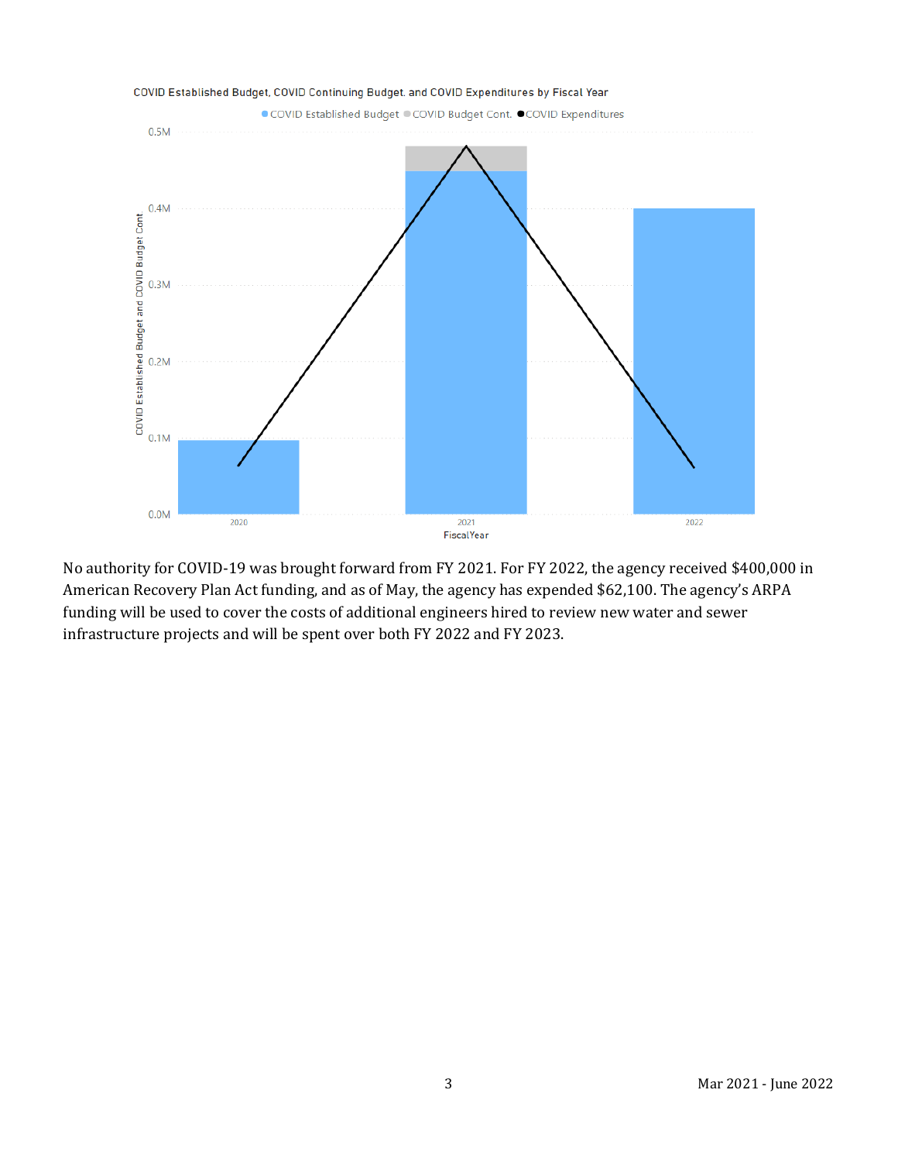

No authority for COVID-19 was brought forward from FY 2021. For FY 2022, the agency received \$400,000 in American Recovery Plan Act funding, and as of May, the agency has expended \$62,100. The agency's ARPA funding will be used to cover the costs of additional engineers hired to review new water and sewer infrastructure projects and will be spent over both FY 2022 and FY 2023.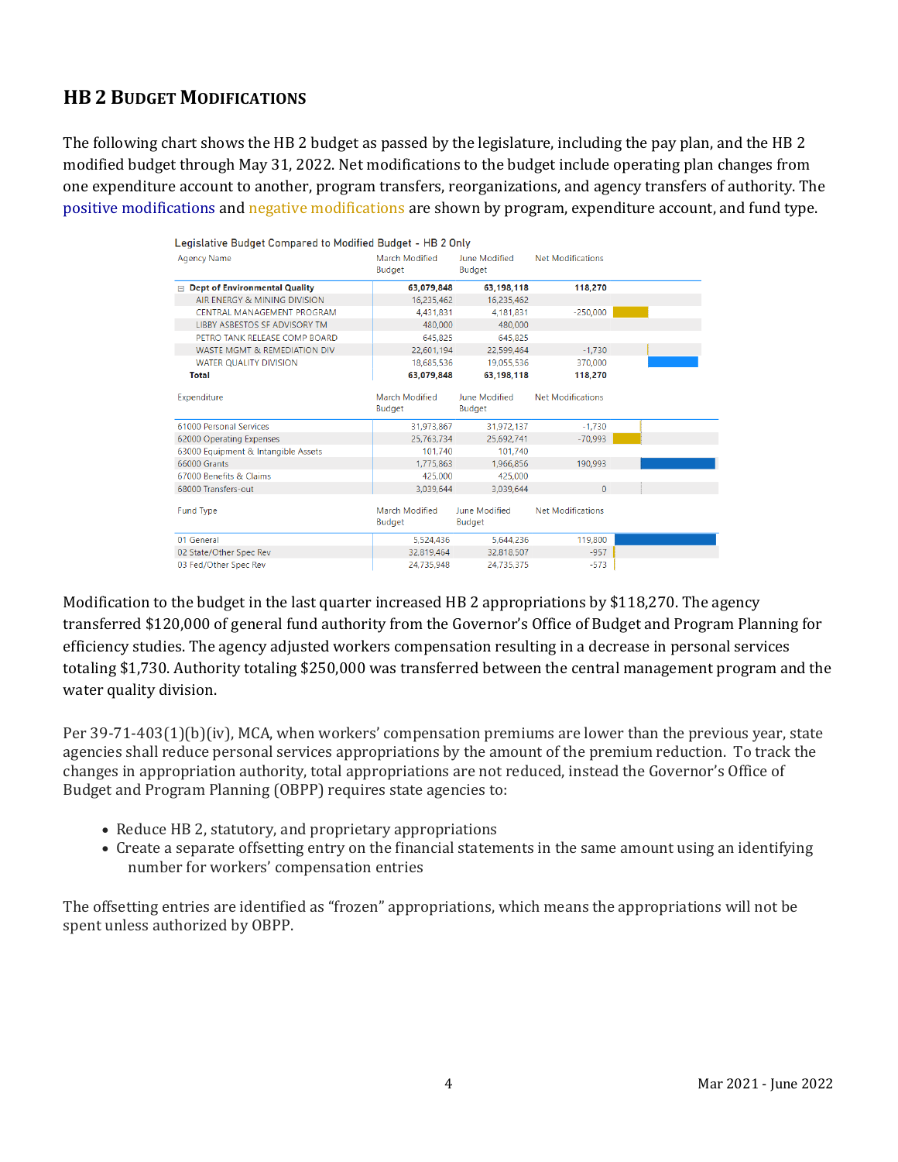# **HB 2 BUDGET MODIFICATIONS**

The following chart shows the HB 2 budget as passed by the legislature, including the pay plan, and the HB 2 modified budget through May 31, 2022. Net modifications to the budget include operating plan changes from one expenditure account to another, program transfers, reorganizations, and agency transfers of authority. The positive modifications and negative modifications are shown by program, expenditure account, and fund type.

| <b>Agency Name</b>                        | March Modified<br>Budget        | June Modified<br>Budget        | <b>Net Modifications</b> |  |
|-------------------------------------------|---------------------------------|--------------------------------|--------------------------|--|
| <b>Dept of Environmental Quality</b><br>日 | 63,079,848                      | 63,198,118                     | 118,270                  |  |
| AIR ENERGY & MINING DIVISION              | 16,235,462                      | 16,235,462                     |                          |  |
| CENTRAL MANAGEMENT PROGRAM                | 4.431.831                       | 4.181.831                      | $-250,000$               |  |
| <b>LIBBY ASBESTOS SF ADVISORY TM</b>      | 480,000                         | 480,000                        |                          |  |
| PETRO TANK RELEASE COMP BOARD             | 645.825                         | 645.825                        |                          |  |
| WASTE MGMT & REMEDIATION DIV              | 22,601,194                      | 22,599,464                     | $-1,730$                 |  |
| <b>WATER OUALITY DIVISION</b>             | 18.685.536                      | 19.055.536                     | 370,000                  |  |
| <b>Total</b>                              | 63.079.848                      | 63.198.118                     | 118,270                  |  |
| Expenditure                               | March Modified<br><b>Budget</b> | June Modified<br><b>Budget</b> | <b>Net Modifications</b> |  |
| 61000 Personal Services                   | 31,973,867                      | 31,972,137                     | $-1.730$                 |  |
| 62000 Operating Expenses                  | 25.763.734                      | 25.692.741                     | $-70.993$                |  |
| 63000 Equipment & Intangible Assets       | 101.740                         | 101.740                        |                          |  |
| 66000 Grants                              | 1.775.863                       | 1.966.856                      | 190.993                  |  |
| 67000 Benefits & Claims                   | 425,000                         | 425,000                        |                          |  |
| 68000 Transfers-out                       | 3.039.644                       | 3.039.644                      | $\Omega$                 |  |
| <b>Fund Type</b>                          | March Modified<br>Budget        | June Modified<br><b>Budget</b> | <b>Net Modifications</b> |  |
| 01 General                                | 5,524,436                       | 5,644,236                      | 119,800                  |  |
|                                           |                                 |                                |                          |  |
| 02 State/Other Spec Rev                   | 32.819.464                      | 32,818,507                     | $-957$                   |  |

Modification to the budget in the last quarter increased HB 2 appropriations by \$118,270. The agency transferred \$120,000 of general fund authority from the Governor's Office of Budget and Program Planning for efficiency studies. The agency adjusted workers compensation resulting in a decrease in personal services totaling \$1,730. Authority totaling \$250,000 was transferred between the central management program and the water quality division.

Per 39-71-403(1)(b)(iv), MCA, when workers' compensation premiums are lower than the previous year, state agencies shall reduce personal services appropriations by the amount of the premium reduction. To track the changes in appropriation authority, total appropriations are not reduced, instead the Governor's Office of Budget and Program Planning (OBPP) requires state agencies to:

- Reduce HB 2, statutory, and proprietary appropriations
- Create a separate offsetting entry on the financial statements in the same amount using an identifying number for workers' compensation entries

The offsetting entries are identified as "frozen" appropriations, which means the appropriations will not be spent unless authorized by OBPP.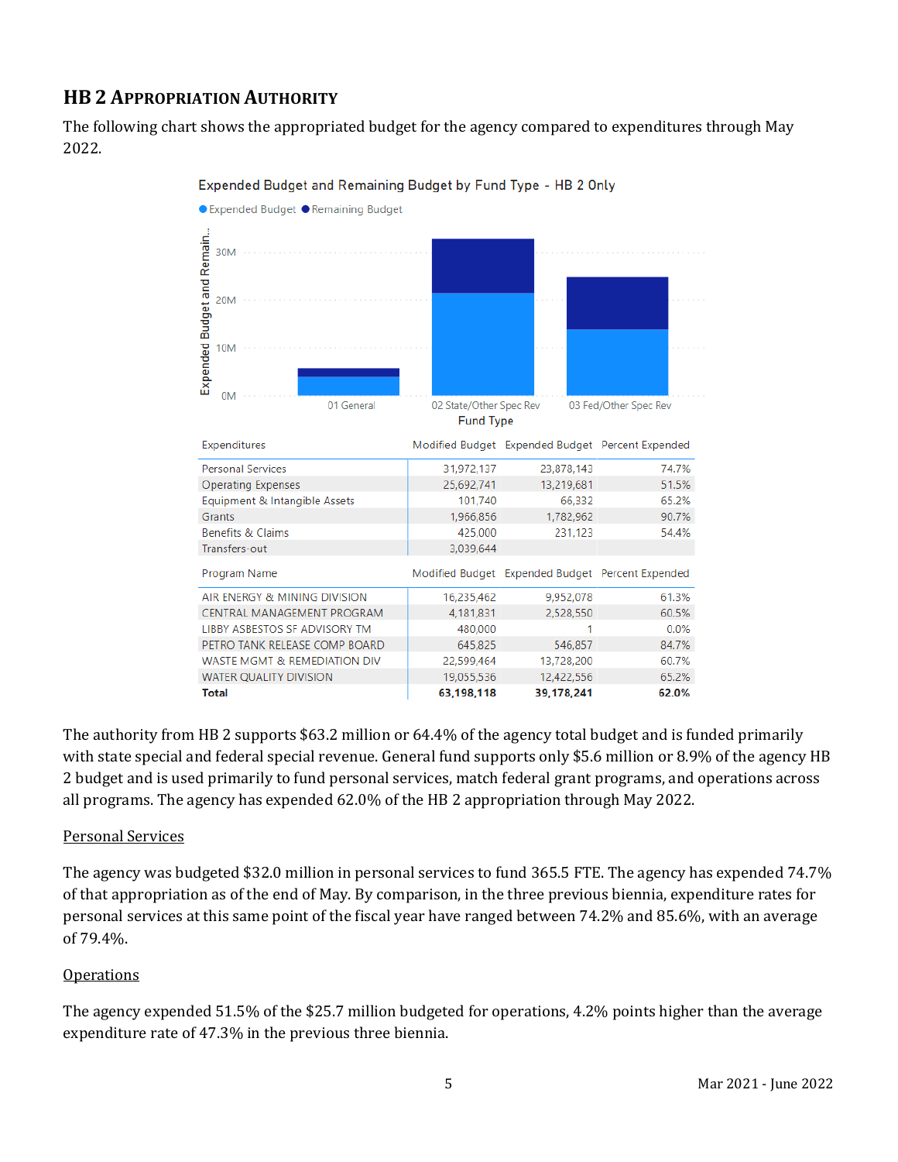# **HB 2 APPROPRIATION AUTHORITY**

The following chart shows the appropriated budget for the agency compared to expenditures through May 2022.



Expended Budget and Remaining Budget by Fund Type - HB 2 Only

The authority from HB 2 supports \$63.2 million or 64.4% of the agency total budget and is funded primarily with state special and federal special revenue. General fund supports only \$5.6 million or 8.9% of the agency HB 2 budget and is used primarily to fund personal services, match federal grant programs, and operations across all programs. The agency has expended 62.0% of the HB 2 appropriation through May 2022.

### Personal Services

The agency was budgeted \$32.0 million in personal services to fund 365.5 FTE. The agency has expended 74.7% of that appropriation as of the end of May. By comparison, in the three previous biennia, expenditure rates for personal services at this same point of the fiscal year have ranged between 74.2% and 85.6%, with an average of 79.4%.

### **Operations**

The agency expended 51.5% of the \$25.7 million budgeted for operations, 4.2% points higher than the average expenditure rate of 47.3% in the previous three biennia.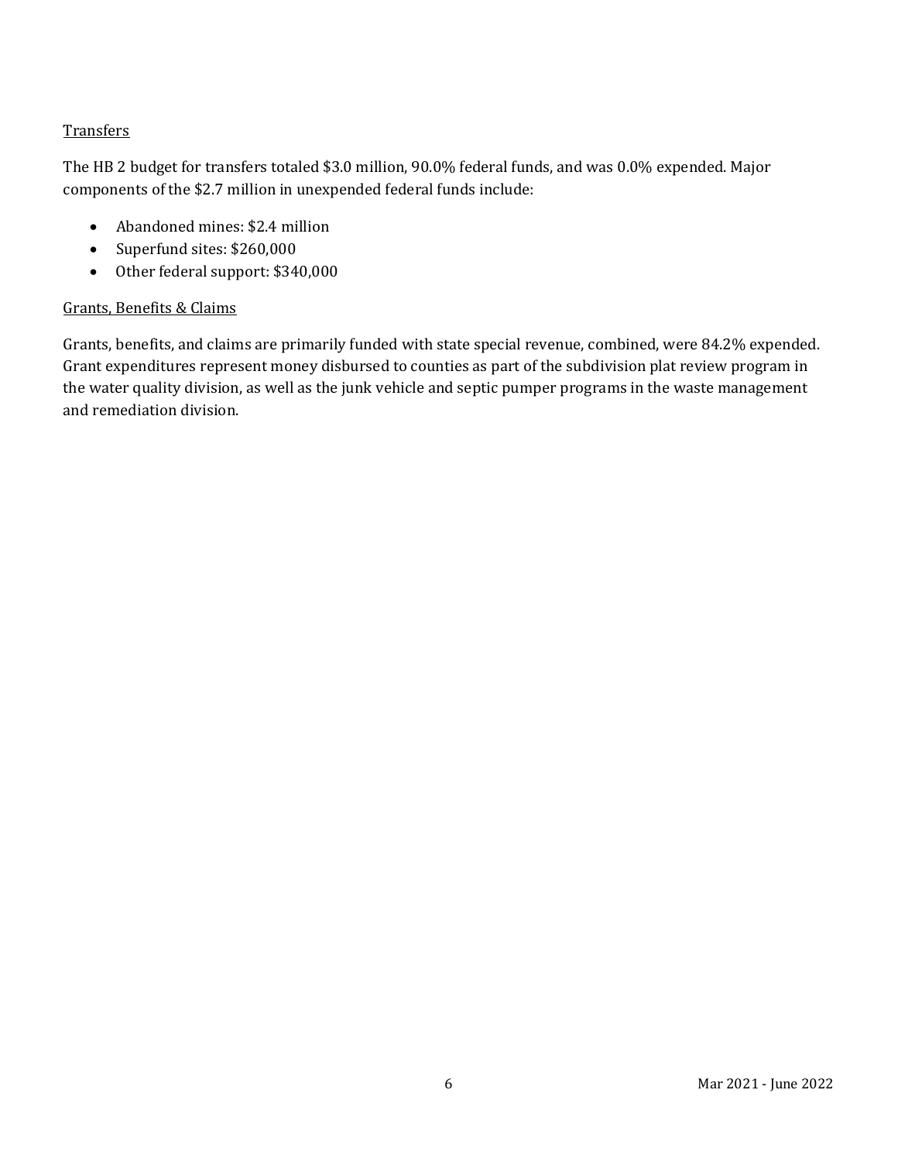### **Transfers**

The HB 2 budget for transfers totaled \$3.0 million, 90.0% federal funds, and was 0.0% expended. Major components of the \$2.7 million in unexpended federal funds include:

- Abandoned mines: \$2.4 million
- Superfund sites: \$260,000
- Other federal support: \$340,000

#### Grants, Benefits & Claims

Grants, benefits, and claims are primarily funded with state special revenue, combined, were 84.2% expended. Grant expenditures represent money disbursed to counties as part of the subdivision plat review program in the water quality division, as well as the junk vehicle and septic pumper programs in the waste management and remediation division.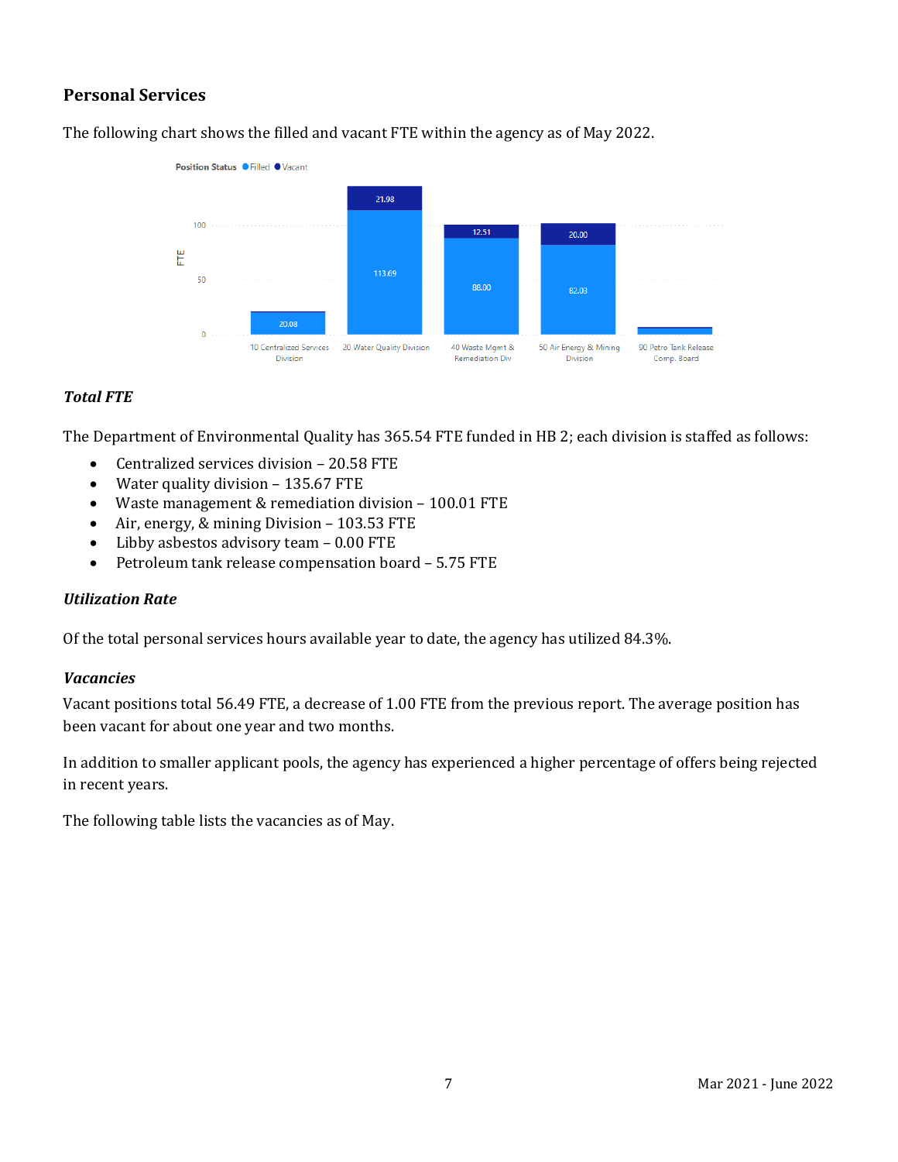## **Personal Services**

The following chart shows the filled and vacant FTE within the agency as of May 2022.



### *Total FTE*

The Department of Environmental Quality has 365.54 FTE funded in HB 2; each division is staffed as follows:

- Centralized services division 20.58 FTE
- Water quality division 135.67 FTE
- Waste management & remediation division 100.01 FTE<br>• Air. energy. & mining Division 103.53 FTE
- Air, energy, & mining Division 103.53 FTE
- Libby asbestos advisory team  $-0.00$  FTE<br>• Petroleum tank release compensation bo:
- Petroleum tank release compensation board 5.75 FTE

#### *Utilization Rate*

Of the total personal services hours available year to date, the agency has utilized 84.3%.

#### *Vacancies*

Vacant positions total 56.49 FTE, a decrease of 1.00 FTE from the previous report. The average position has been vacant for about one year and two months.

In addition to smaller applicant pools, the agency has experienced a higher percentage of offers being rejected in recent years.

The following table lists the vacancies as of May.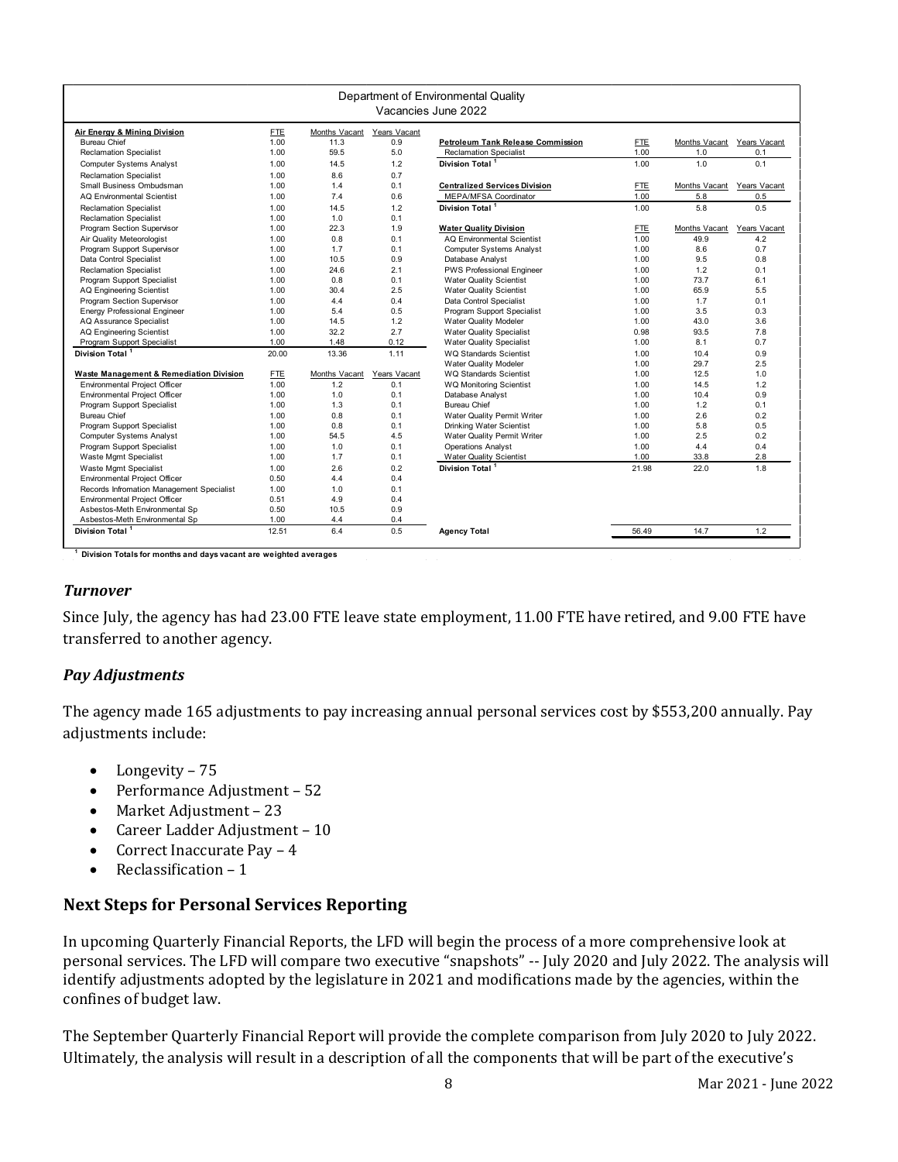| Department of Environmental Quality<br>Vacancies June 2022 |            |               |              |                                      |            |               |              |  |  |  |  |
|------------------------------------------------------------|------------|---------------|--------------|--------------------------------------|------------|---------------|--------------|--|--|--|--|
| Air Energy & Mining Division                               | <b>FTE</b> | Months Vacant | Years Vacant |                                      |            |               |              |  |  |  |  |
| <b>Bureau Chief</b>                                        | 1.00       | 11.3          | 0.9          | Petroleum Tank Release Commission    | <b>FTE</b> | Months Vacant | Years Vacant |  |  |  |  |
| <b>Reclamation Specialist</b>                              | 1.00       | 59.5          | 5.0          | <b>Reclamation Specialist</b>        | 1.00       | 1.0           | 0.1          |  |  |  |  |
| <b>Computer Systems Analyst</b>                            | 1.00       | 14.5          | 1.2          | Division Total <sup>1</sup>          | 1.00       | 1.0           | 0.1          |  |  |  |  |
| <b>Reclamation Specialist</b>                              | 1.00       | 8.6           | 0.7          |                                      |            |               |              |  |  |  |  |
| Small Business Ombudsman                                   | 1.00       | 1.4           | 0.1          | <b>Centralized Services Division</b> | <b>FTE</b> | Months Vacant | Years Vacant |  |  |  |  |
| <b>AQ Environmental Scientist</b>                          | 1.00       | 7.4           | 0.6          | <b>MEPA/MFSA Coordinator</b>         | 1.00       | 5.8           | 0.5          |  |  |  |  |
| <b>Reclamation Specialist</b>                              | 1.00       | 14.5          | 1.2          | Division Total <sup>1</sup>          | 1.00       | 5.8           | 0.5          |  |  |  |  |
| <b>Reclamation Specialist</b>                              | 1.00       | 1.0           | 0.1          |                                      |            |               |              |  |  |  |  |
| Program Section Supervisor                                 | 1.00       | 22.3          | 1.9          | <b>Water Quality Division</b>        | <b>FTE</b> | Months Vacant | Years Vacant |  |  |  |  |
| Air Quality Meteorologist                                  | 1.00       | 0.8           | 0.1          | <b>AQ Environmental Scientist</b>    | 1.00       | 49.9          | 4.2          |  |  |  |  |
| Program Support Supervisor                                 | 1.00       | 1.7           | 0.1          | <b>Computer Systems Analyst</b>      | 1.00       | 8.6           | 0.7          |  |  |  |  |
| Data Control Specialist                                    | 1.00       | 10.5          | 0.9          | Database Analyst                     | 1.00       | 9.5           | 0.8          |  |  |  |  |
| <b>Reclamation Specialist</b>                              | 1.00       | 24.6          | 2.1          | <b>PWS Professional Engineer</b>     | 1.00       | 1.2           | 0.1          |  |  |  |  |
| Program Support Specialist                                 | 1.00       | 0.8           | 0.1          | <b>Water Quality Scientist</b>       | 1.00       | 73.7          | 6.1          |  |  |  |  |
| <b>AQ Engineering Scientist</b>                            | 1.00       | 30.4          | 2.5          | <b>Water Quality Scientist</b>       | 1.00       | 65.9          | 5.5          |  |  |  |  |
| Program Section Supervisor                                 | 1.00       | 4.4           | 0.4          | Data Control Specialist              | 1.00       | 1.7           | 0.1          |  |  |  |  |
| <b>Energy Professional Engineer</b>                        | 1.00       | 5.4           | 0.5          | Program Support Specialist           | 1.00       | 3.5           | 0.3          |  |  |  |  |
| AQ Assurance Specialist                                    | 1.00       | 14.5          | 1.2          | Water Quality Modeler                | 1.00       | 43.0          | 3.6          |  |  |  |  |
| <b>AQ Engineering Scientist</b>                            | 1.00       | 32.2          | 2.7          | <b>Water Quality Specialist</b>      | 0.98       | 93.5          | 7.8          |  |  |  |  |
| Program Support Specialist                                 | 1.00       | 1.48          | 0.12         | <b>Water Quality Specialist</b>      | 1.00       | 8.1           | 0.7          |  |  |  |  |
| Division Total <sup>1</sup>                                | 20.00      | 13.36         | 1.11         | <b>WQ Standards Scientist</b>        | 1.00       | 10.4          | 0.9          |  |  |  |  |
|                                                            |            |               |              | <b>Water Quality Modeler</b>         | 1.00       | 29.7          | 2.5          |  |  |  |  |
| <b>Waste Management &amp; Remediation Division</b>         | <b>FTE</b> | Months Vacant | Years Vacant | <b>WQ Standards Scientist</b>        | 1.00       | 12.5          | 1.0          |  |  |  |  |
| Environmental Project Officer                              | 1.00       | 1.2           | 0.1          | WQ Monitoring Scientist              | 1.00       | 14.5          | 1.2          |  |  |  |  |
| Environmental Project Officer                              | 1.00       | 1.0           | 0.1          | Database Analyst                     | 1.00       | 10.4          | 0.9          |  |  |  |  |
| Program Support Specialist                                 | 1.00       | 1.3           | 0.1          | <b>Bureau Chief</b>                  | 1.00       | 1.2           | 0.1          |  |  |  |  |
| <b>Bureau Chief</b>                                        | 1.00       | 0.8           | 0.1          | Water Quality Permit Writer          | 1.00       | 2.6           | 0.2          |  |  |  |  |
| Program Support Specialist                                 | 1.00       | 0.8           | 0.1          | <b>Drinking Water Scientist</b>      | 1.00       | 5.8           | 0.5          |  |  |  |  |
| <b>Computer Systems Analyst</b>                            | 1.00       | 54.5          | 4.5          | Water Quality Permit Writer          | 1.00       | 2.5           | 0.2          |  |  |  |  |
| Program Support Specialist                                 | 1.00       | 1.0           | 0.1          | <b>Operations Analyst</b>            | 1.00       | 4.4           | 0.4          |  |  |  |  |
| Waste Mgmt Specialist                                      | 1.00       | 1.7           | 0.1          | <b>Water Quality Scientist</b>       | 1.00       | 33.8          | 2.8          |  |  |  |  |
| Waste Mgmt Specialist                                      | 1.00       | 2.6           | 0.2          | Division Total <sup>1</sup>          | 21.98      | 22.0          | 1.8          |  |  |  |  |
| Environmental Project Officer                              | 0.50       | 4.4           | 0.4          |                                      |            |               |              |  |  |  |  |
| Records Infromation Management Specialist                  | 1.00       | 1.0           | 0.1          |                                      |            |               |              |  |  |  |  |
| Environmental Project Officer                              | 0.51       | 4.9           | 0.4          |                                      |            |               |              |  |  |  |  |
| Asbestos-Meth Environmental Sp                             | 0.50       | 10.5          | 0.9          |                                      |            |               |              |  |  |  |  |
| Asbestos-Meth Environmental Sp                             | 1.00       | 4.4           | 0.4          |                                      |            |               |              |  |  |  |  |
| Division Total <sup>1</sup>                                | 12.51      | 6.4           | 0.5          | <b>Agency Total</b>                  | 56.49      | 14.7          | 1.2          |  |  |  |  |

**1 Division Totals for months and days vacant are weighted averages** 

#### *Turnover*

Since July, the agency has had 23.00 FTE leave state employment, 11.00 FTE have retired, and 9.00 FTE have transferred to another agency.

### *Pay Adjustments*

The agency made 165 adjustments to pay increasing annual personal services cost by \$553,200 annually. Pay adjustments include:

- Longevity 75
- Performance Adjustment 52
- Market Adjustment 23
- Career Ladder Adjustment 10
- Correct Inaccurate Pay 4<br>• Reclassification 1
- Reclassification 1

### **Next Steps for Personal Services Reporting**

In upcoming Quarterly Financial Reports, the LFD will begin the process of a more comprehensive look at personal services. The LFD will compare two executive "snapshots" -- July 2020 and July 2022. The analysis will identify adjustments adopted by the legislature in 2021 and modifications made by the agencies, within the confines of budget law.

The September Quarterly Financial Report will provide the complete comparison from July 2020 to July 2022. Ultimately, the analysis will result in a description of all the components that will be part of the executive's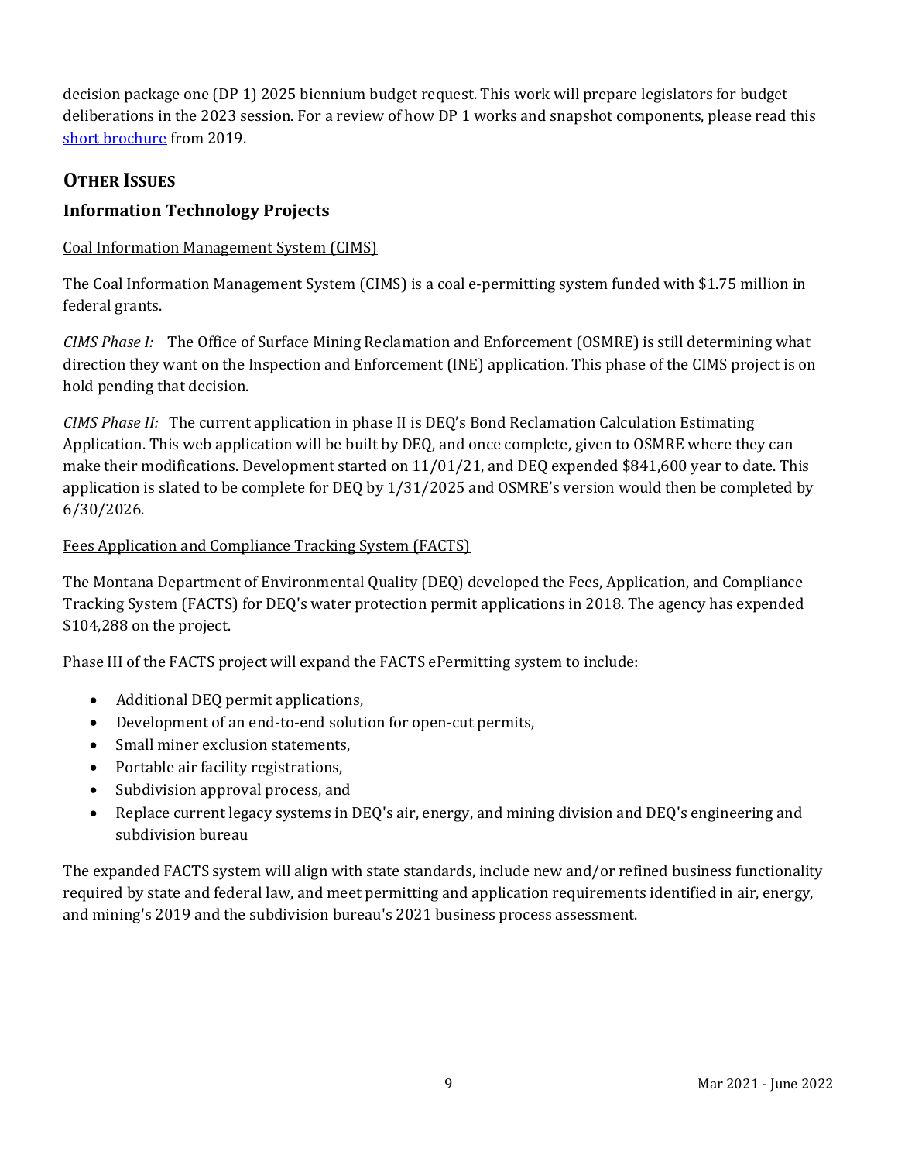decision package one (DP 1) 2025 biennium budget request. This work will prepare legislators for budget deliberations in the 2023 session. For a review of how DP 1 works and snapshot components, please read this [short brochure](https://montana.maps.arcgis.com/apps/Cascade/index.html?appid=23095fcf15754f4fb38b63c58a884b97) from 2019.

# **OTHER ISSUES**

## **Information Technology Projects**

### Coal Information Management System (CIMS)

The Coal Information Management System (CIMS) is a coal e-permitting system funded with \$1.75 million in federal grants.

*CIMS Phase I:* The Office of Surface Mining Reclamation and Enforcement (OSMRE) is still determining what direction they want on the Inspection and Enforcement (INE) application. This phase of the CIMS project is on hold pending that decision.

*CIMS Phase II:* The current application in phase II is DEQ's Bond Reclamation Calculation Estimating Application. This web application will be built by DEQ, and once complete, given to OSMRE where they can make their modifications. Development started on 11/01/21, and DEQ expended \$841,600 year to date. This application is slated to be complete for DEQ by 1/31/2025 and OSMRE's version would then be completed by 6/30/2026.

### Fees Application and Compliance Tracking System (FACTS)

The Montana Department of Environmental Quality (DEQ) developed the Fees, Application, and Compliance Tracking System (FACTS) for DEQ's water protection permit applications in 2018. The agency has expended \$104,288 on the project.

Phase III of the FACTS project will expand the FACTS ePermitting system to include:

- Additional DEQ permit applications,
- Development of an end-to-end solution for open-cut permits,
- Small miner exclusion statements.
- Portable air facility registrations,
- Subdivision approval process, and
- Replace current legacy systems in DEQ's air, energy, and mining division and DEQ's engineering and subdivision bureau

The expanded FACTS system will align with state standards, include new and/or refined business functionality required by state and federal law, and meet permitting and application requirements identified in air, energy, and mining's 2019 and the subdivision bureau's 2021 business process assessment.